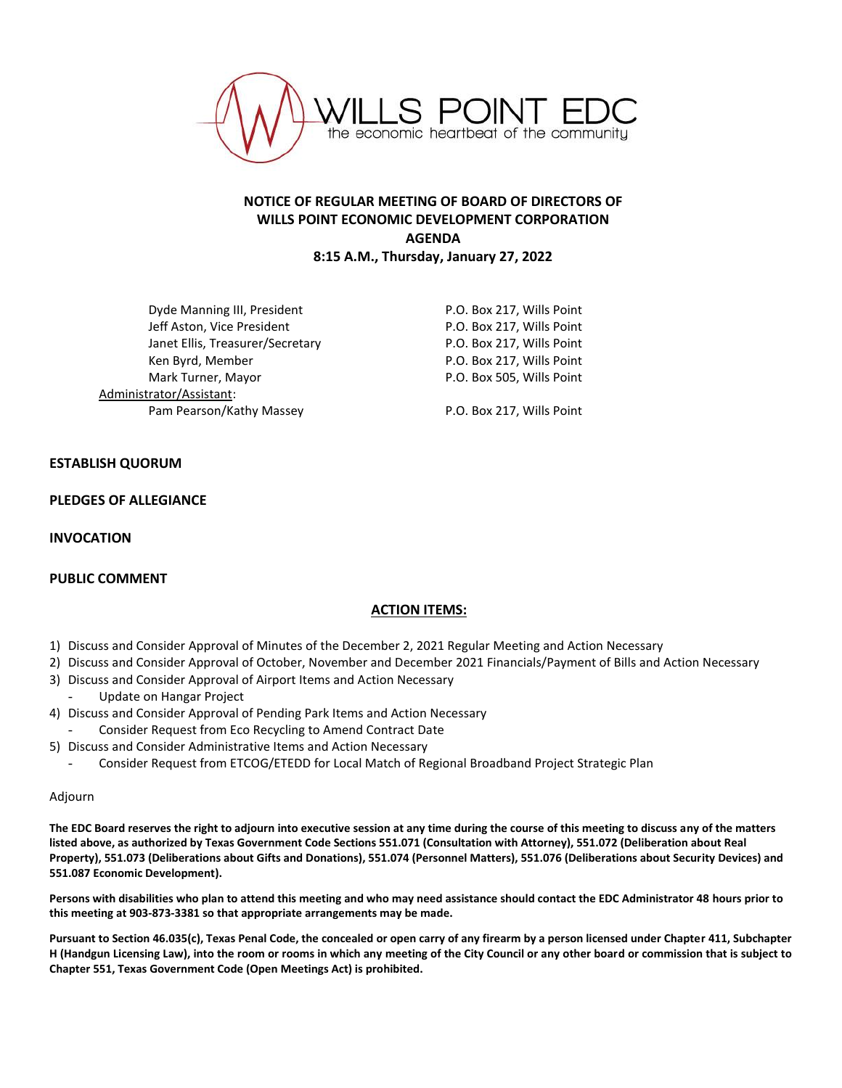

# **NOTICE OF REGULAR MEETING OF BOARD OF DIRECTORS OF WILLS POINT ECONOMIC DEVELOPMENT CORPORATION AGENDA 8:15 A.M., Thursday, January 27, 2022**

Dyde Manning III, President **P.O. Box 217, Wills Point** Jeff Aston, Vice President **P.O. Box 217, Wills Point** Janet Ellis, Treasurer/Secretary P.O. Box 217, Wills Point Ken Byrd, Member **National Accord P.O. Box 217, Wills Point** Mark Turner, Mayor **P.O. Box 505, Wills Point** Administrator/Assistant: Pam Pearson/Kathy Massey P.O. Box 217, Wills Point

## **ESTABLISH QUORUM**

### **PLEDGES OF ALLEGIANCE**

**INVOCATION**

### **PUBLIC COMMENT**

## **ACTION ITEMS:**

- 1) Discuss and Consider Approval of Minutes of the December 2, 2021 Regular Meeting and Action Necessary
- 2) Discuss and Consider Approval of October, November and December 2021 Financials/Payment of Bills and Action Necessary
- 3) Discuss and Consider Approval of Airport Items and Action Necessary
- Update on Hangar Project
- 4) Discuss and Consider Approval of Pending Park Items and Action Necessary
- Consider Request from Eco Recycling to Amend Contract Date
- 5) Discuss and Consider Administrative Items and Action Necessary
	- Consider Request from ETCOG/ETEDD for Local Match of Regional Broadband Project Strategic Plan

#### Adjourn

**The EDC Board reserves the right to adjourn into executive session at any time during the course of this meeting to discuss any of the matters listed above, as authorized by Texas Government Code Sections 551.071 (Consultation with Attorney), 551.072 (Deliberation about Real Property), 551.073 (Deliberations about Gifts and Donations), 551.074 (Personnel Matters), 551.076 (Deliberations about Security Devices) and 551.087 Economic Development).**

**Persons with disabilities who plan to attend this meeting and who may need assistance should contact the EDC Administrator 48 hours prior to this meeting at 903-873-3381 so that appropriate arrangements may be made.**

**Pursuant to Section 46.035(c), Texas Penal Code, the concealed or open carry of any firearm by a person licensed under Chapter 411, Subchapter H (Handgun Licensing Law), into the room or rooms in which any meeting of the City Council or any other board or commission that is subject to Chapter 551, Texas Government Code (Open Meetings Act) is prohibited.**